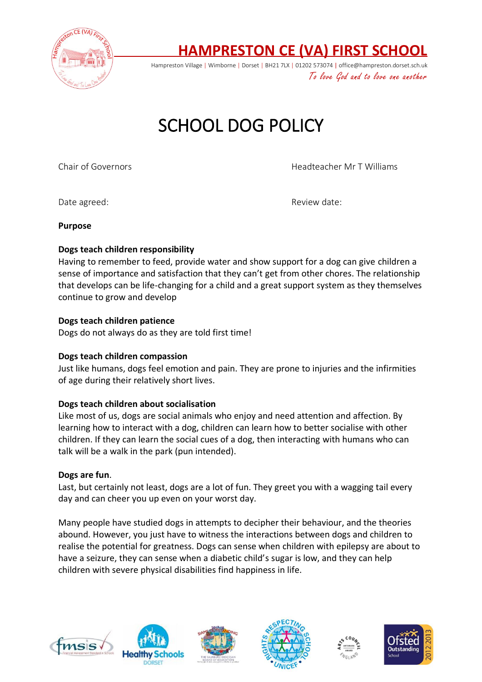

# **HAMPRESTON CE (VA) FIRST SCHOOL**

Hampreston Village | Wimborne | Dorset | BH21 7LX | 01202 573074 | office@hampreston.dorset.sch.uk

To love God and to love one another

# SCHOOL DOG POLICY

Chair of Governors Headteacher Mr T Williams

Date agreed: New York 2012 12: A Review date:

**Purpose** 

#### **Dogs teach children responsibility**

Having to remember to feed, provide water and show support for a dog can give children a sense of importance and satisfaction that they can't get from other chores. The relationship that develops can be life-changing for a child and a great support system as they themselves continue to grow and develop

### **Dogs teach children patience**

Dogs do not always do as they are told first time!

#### **Dogs teach children compassion**

Just like humans, dogs feel emotion and pain. They are prone to injuries and the infirmities of age during their relatively short lives.

## **Dogs teach children about socialisation**

Like most of us, dogs are social animals who enjoy and need attention and affection. By learning how to interact with a dog, children can learn how to better socialise with other children. If they can learn the social cues of a dog, then interacting with humans who can talk will be a walk in the park (pun intended).

#### **Dogs are fun**.

Last, but certainly not least, dogs are a lot of fun. They greet you with a wagging tail every day and can cheer you up even on your worst day.

Many people have studied dogs in attempts to decipher their behaviour, and the theories abound. However, you just have to witness the interactions between dogs and children to realise the potential for greatness. Dogs can sense when children with epilepsy are about to have a seizure, they can sense when a diabetic child's sugar is low, and they can help children with severe physical disabilities find happiness in life.









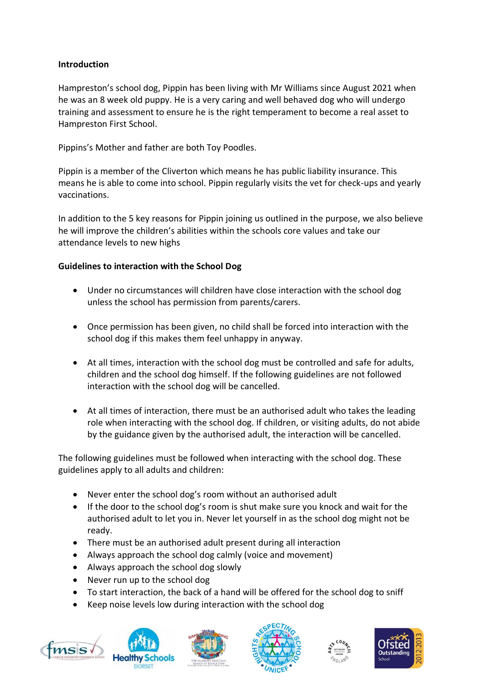#### **Introduction**

Hampreston's school dog, Pippin has been living with Mr Williams since August 2021 when he was an 8 week old puppy. He is a very caring and well behaved dog who will undergo training and assessment to ensure he is the right temperament to become a real asset to Hampreston First School.

Pippins's Mother and father are both Toy Poodles.

Pippin is a member of the Cliverton which means he has public liability insurance. This means he is able to come into school. Pippin regularly visits the vet for check-ups and yearly vaccinations.

In addition to the 5 key reasons for Pippin joining us outlined in the purpose, we also believe he will improve the children's abilities within the schools core values and take our attendance levels to new highs

#### **Guidelines to interaction with the School Dog**

- Under no circumstances will children have close interaction with the school dog unless the school has permission from parents/carers.
- Once permission has been given, no child shall be forced into interaction with the school dog if this makes them feel unhappy in anyway.
- At all times, interaction with the school dog must be controlled and safe for adults, children and the school dog himself. If the following guidelines are not followed interaction with the school dog will be cancelled.
- At all times of interaction, there must be an authorised adult who takes the leading role when interacting with the school dog. If children, or visiting adults, do not abide by the guidance given by the authorised adult, the interaction will be cancelled.

The following guidelines must be followed when interacting with the school dog. These guidelines apply to all adults and children:

- Never enter the school dog's room without an authorised adult
- If the door to the school dog's room is shut make sure you knock and wait for the authorised adult to let you in. Never let yourself in as the school dog might not be ready.
- There must be an authorised adult present during all interaction
- Always approach the school dog calmly (voice and movement)
- Always approach the school dog slowly
- Never run up to the school dog
- To start interaction, the back of a hand will be offered for the school dog to sniff
- Keep noise levels low during interaction with the school dog